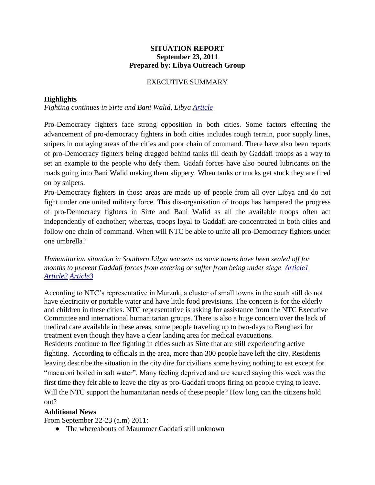## **SITUATION REPORT September 23, 2011 Prepared by: Libya Outreach Group**

# EXECUTIVE SUMMARY

## **Highlights**

*Fighting continues in Sirte and Bani Walid, Libya [Article](http://www.miamiherald.com/2011/09/22/2420447/libyan-fighters-say-they-blocked.html)*

Pro-Democracy fighters face strong opposition in both cities. Some factors effecting the advancement of pro-democracy fighters in both cities includes rough terrain, poor supply lines, snipers in outlaying areas of the cities and poor chain of command. There have also been reports of pro-Democracy fighters being dragged behind tanks till death by Gaddafi troops as a way to set an example to the people who defy them. Gadafi forces have also poured lubricants on the roads going into Bani Walid making them slippery. When tanks or trucks get stuck they are fired on by snipers.

Pro-Democracy fighters in those areas are made up of people from all over Libya and do not fight under one united military force. This dis-organisation of troops has hampered the progress of pro-Democracy fighters in Sirte and Bani Walid as all the available troops often act independently of eachother; whereas, troops loyal to Gaddafi are concentrated in both cities and follow one chain of command. When will NTC be able to unite all pro-Democracy fighters under one umbrella?

*Humanitarian situation in Southern Libya worsens as some towns have been sealed off for months to prevent Gaddafi forces from entering or suffer from being under siege Articlel [Article2](http://www.globalpost.com/dispatches/globalpost-blogs/the-casbah/libya-news-civilians-flee-besieged-sirte) [Article3](http://www.google.com/url?q=http%3A%2F%2Fedition.cnn.com%2F2011%2FWORLD%2Fafrica%2F09%2F22%2Flibya.war%2F&sa=D&sntz=1&usg=AFQjCNHzS3jGITqrrWHAn-u-SfU5DCa2Vg)*

According to NTC's representative in Murzuk, a cluster of small towns in the south still do not have electricity or portable water and have little food previsions. The concern is for the elderly and children in these cities. NTC representative is asking for assistance from the NTC Executive Committee and international humanitarian groups. There is also a huge concern over the lack of medical care available in these areas, some people traveling up to two-days to Benghazi for treatment even though they have a clear landing area for medical evacuations. Residents continue to flee fighting in cities such as Sirte that are still experiencing active fighting. According to officials in the area, more than 300 people have left the city. Residents leaving describe the situation in the city dire for civilians some having nothing to eat except for "macaroni boiled in salt water". Many feeling deprived and are scared saying this week was the first time they felt able to leave the city as pro-Gaddafi troops firing on people trying to leave. Will the NTC support the humanitarian needs of these people? How long can the citizens hold

#### out?

#### **Additional News**

From September 22-23 (a.m) 2011:

● The whereabouts of Maummer Gaddafi still unknown